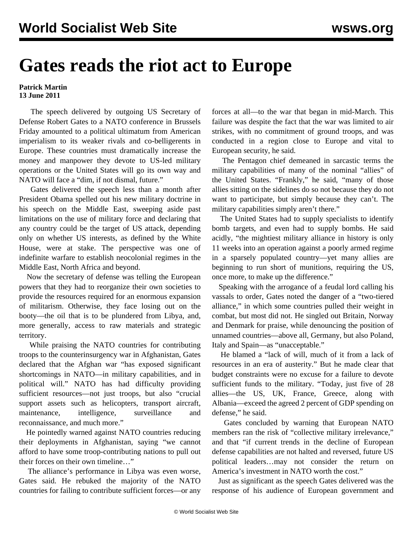## **Gates reads the riot act to Europe**

## **Patrick Martin 13 June 2011**

 The speech delivered by outgoing US Secretary of Defense Robert Gates to a NATO conference in Brussels Friday amounted to a political ultimatum from American imperialism to its weaker rivals and co-belligerents in Europe. These countries must dramatically increase the money and manpower they devote to US-led military operations or the United States will go its own way and NATO will face a "dim, if not dismal, future."

 Gates delivered the speech less than a month after President Obama spelled out his new military doctrine in his speech on the Middle East, sweeping aside past limitations on the use of military force and declaring that any country could be the target of US attack, depending only on whether US interests, as defined by the White House, were at stake. The perspective was one of indefinite warfare to establish neocolonial regimes in the Middle East, North Africa and beyond.

 Now the secretary of defense was telling the European powers that they had to reorganize their own societies to provide the resources required for an enormous expansion of militarism. Otherwise, they face losing out on the booty—the oil that is to be plundered from Libya, and, more generally, access to raw materials and strategic territory.

 While praising the NATO countries for contributing troops to the counterinsurgency war in Afghanistan, Gates declared that the Afghan war "has exposed significant shortcomings in NATO—in military capabilities, and in political will." NATO has had difficulty providing sufficient resources—not just troops, but also "crucial support assets such as helicopters, transport aircraft, maintenance, intelligence, surveillance and reconnaissance, and much more."

 He pointedly warned against NATO countries reducing their deployments in Afghanistan, saying "we cannot afford to have some troop-contributing nations to pull out their forces on their own timeline…"

 The alliance's performance in Libya was even worse, Gates said. He rebuked the majority of the NATO countries for failing to contribute sufficient forces—or any forces at all—to the war that began in mid-March. This failure was despite the fact that the war was limited to air strikes, with no commitment of ground troops, and was conducted in a region close to Europe and vital to European security, he said.

 The Pentagon chief demeaned in sarcastic terms the military capabilities of many of the nominal "allies" of the United States. "Frankly," he said, "many of those allies sitting on the sidelines do so not because they do not want to participate, but simply because they can't. The military capabilities simply aren't there."

 The United States had to supply specialists to identify bomb targets, and even had to supply bombs. He said acidly, "the mightiest military alliance in history is only 11 weeks into an operation against a poorly armed regime in a sparsely populated country—yet many allies are beginning to run short of munitions, requiring the US, once more, to make up the difference."

 Speaking with the arrogance of a feudal lord calling his vassals to order, Gates noted the danger of a "two-tiered alliance," in which some countries pulled their weight in combat, but most did not. He singled out Britain, Norway and Denmark for praise, while denouncing the position of unnamed countries—above all, Germany, but also Poland, Italy and Spain—as "unacceptable."

 He blamed a "lack of will, much of it from a lack of resources in an era of austerity." But he made clear that budget constraints were no excuse for a failure to devote sufficient funds to the military. "Today, just five of 28 allies—the US, UK, France, Greece, along with Albania—exceed the agreed 2 percent of GDP spending on defense," he said.

 Gates concluded by warning that European NATO members ran the risk of "collective military irrelevance," and that "if current trends in the decline of European defense capabilities are not halted and reversed, future US political leaders…may not consider the return on America's investment in NATO worth the cost."

 Just as significant as the speech Gates delivered was the response of his audience of European government and